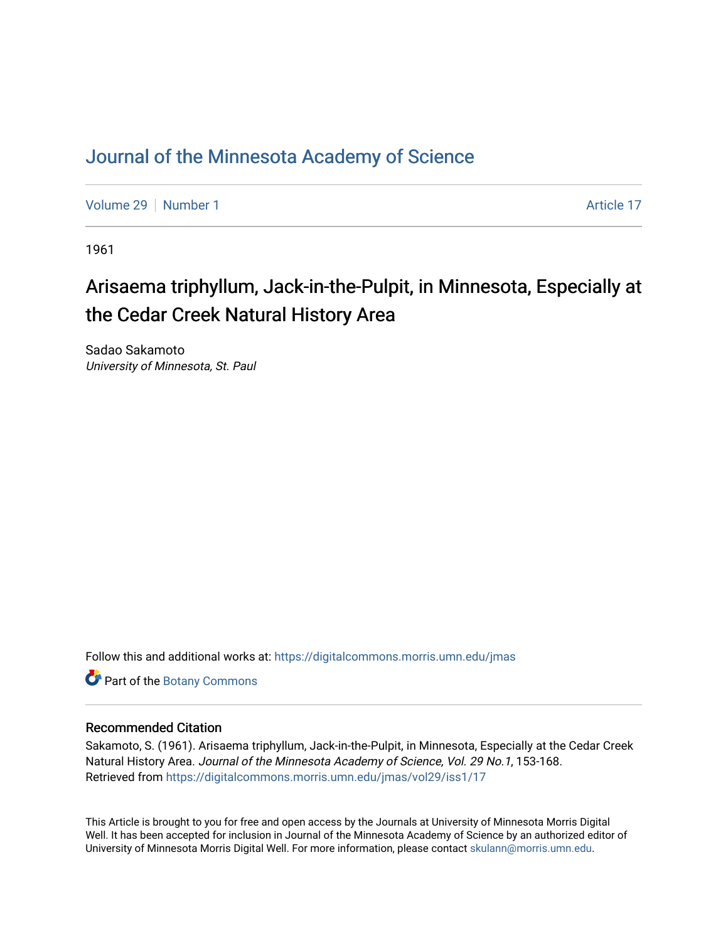## [Journal of the Minnesota Academy of Science](https://digitalcommons.morris.umn.edu/jmas)

[Volume 29](https://digitalcommons.morris.umn.edu/jmas/vol29) [Number 1](https://digitalcommons.morris.umn.edu/jmas/vol29/iss1) Article 17

1961

# Arisaema triphyllum, Jack-in-the-Pulpit, in Minnesota, Especially at the Cedar Creek Natural History Area

Sadao Sakamoto University of Minnesota, St. Paul

Follow this and additional works at: [https://digitalcommons.morris.umn.edu/jmas](https://digitalcommons.morris.umn.edu/jmas?utm_source=digitalcommons.morris.umn.edu%2Fjmas%2Fvol29%2Fiss1%2F17&utm_medium=PDF&utm_campaign=PDFCoverPages) 

Part of the [Botany Commons](https://network.bepress.com/hgg/discipline/104?utm_source=digitalcommons.morris.umn.edu%2Fjmas%2Fvol29%2Fiss1%2F17&utm_medium=PDF&utm_campaign=PDFCoverPages) 

### Recommended Citation

Sakamoto, S. (1961). Arisaema triphyllum, Jack-in-the-Pulpit, in Minnesota, Especially at the Cedar Creek Natural History Area. Journal of the Minnesota Academy of Science, Vol. 29 No.1, 153-168. Retrieved from [https://digitalcommons.morris.umn.edu/jmas/vol29/iss1/17](https://digitalcommons.morris.umn.edu/jmas/vol29/iss1/17?utm_source=digitalcommons.morris.umn.edu%2Fjmas%2Fvol29%2Fiss1%2F17&utm_medium=PDF&utm_campaign=PDFCoverPages) 

This Article is brought to you for free and open access by the Journals at University of Minnesota Morris Digital Well. It has been accepted for inclusion in Journal of the Minnesota Academy of Science by an authorized editor of University of Minnesota Morris Digital Well. For more information, please contact [skulann@morris.umn.edu](mailto:skulann@morris.umn.edu).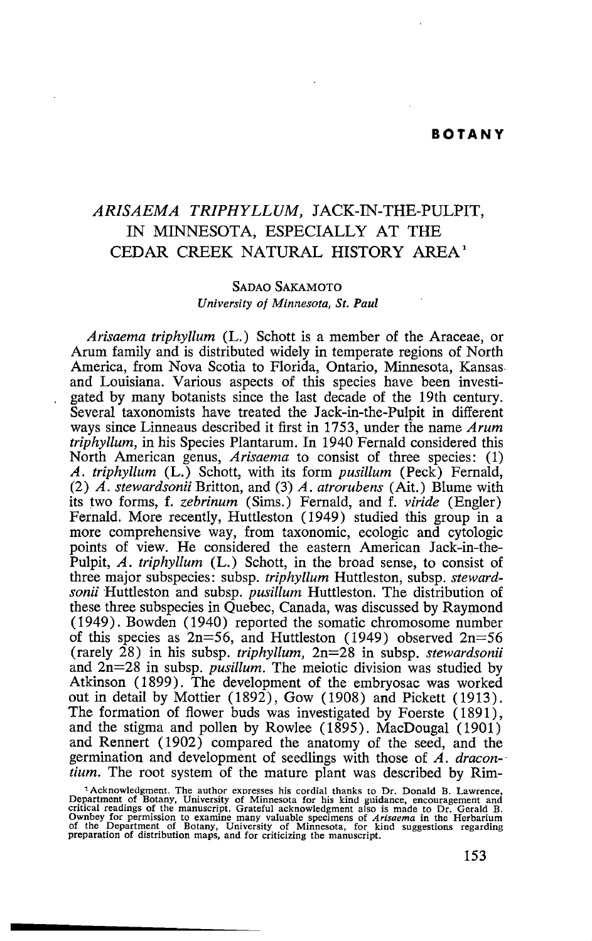#### *ARISAEMA TRIPHYLLUM,* JACK-IN-THE-PULPIT, IN MINNESOTA, ESPECIALLY AT THE CEDAR CREEK NATURAL HISTORY AREA'

#### SADAO SAKAMOTO *University of Minnesota, St. Paul*

*Arisaema triphyllum* (L.) Schott is a member of the Araceae, or Arum family and is distributed widely in temperate regions of North America, from Nova Scotia to Florida, Ontario, Minnesota, Kansas. and Louisiana. Various aspects of this species have been investigated by many botanists since the last decade of the 19th century. Several taxonomists have treated the Jack-in-the-Pulpit in different ways since Linneaus described it first in 1753, under the name *Arum triphyllum,* in his Species Plantarum. In 1940 Fernald considered this North American genus, *Arisaema* to consist of three species: (1) *A. triphyllum* (L.) Schott, with its form *pusillum* (Peck) Fernald, (2) *A. stewardsonii* Britton, and (3) *A. atrorubens* (Ait.) Blume with its two forms, f. *zebrinum* (Sims.) Fernald, and f. *viride* (Engler) Fernald. More recently, Huttleston (1949) studied this group in a more comprehensive way, from taxonomic, ecologic and cytologic points of view. He considered the eastern American Jack-in-the-Pulpit, *A. triphyllum* (L.) Schott, in the broad sense, to consist of three major subspecies: subsp. *triphyllum* Huttleston, subsp. *stewardsonii* Huttleston and subsp. *pusillum* Huttleston. The distribution of these three subspecies in Quebec, Canada, was discussed by Raymond ( 1949) . Bowden ( 1940) reported the somatic chromosome number of this species as  $2n=56$ , and Huttleston (1949) observed  $2n=56$ (rarely 28) in his subsp. *triphyllum,* 2n=28 in subsp. *stewardsonii*  and 2n=28 in subsp. *pusillum.* The meiotic division was studied by Atkinson ( 1899). The development of the embryosac was worked out in detail by Mottier (1892), Gow (1908) and Pickett (1913). The formation of flower buds was investigated by Foerste ( 1891), and the stigma and pollen by Rowlee (1895). MacDougal  $(1901)$ and Rennert (1902) compared the anatomy of the seed, and the germination and development of seedlings with those of *A. dracon- tium.* The root system of the mature plant was described by Rim-

<sup>&</sup>lt;sup>1</sup>Acknowledgment. The author expresses his cordial thanks to Dr. Donald B. Lawrence, Department of Botany, University of Minnesota for his kind guidance, encouragement and critical readings of the manuscript. Grateful ack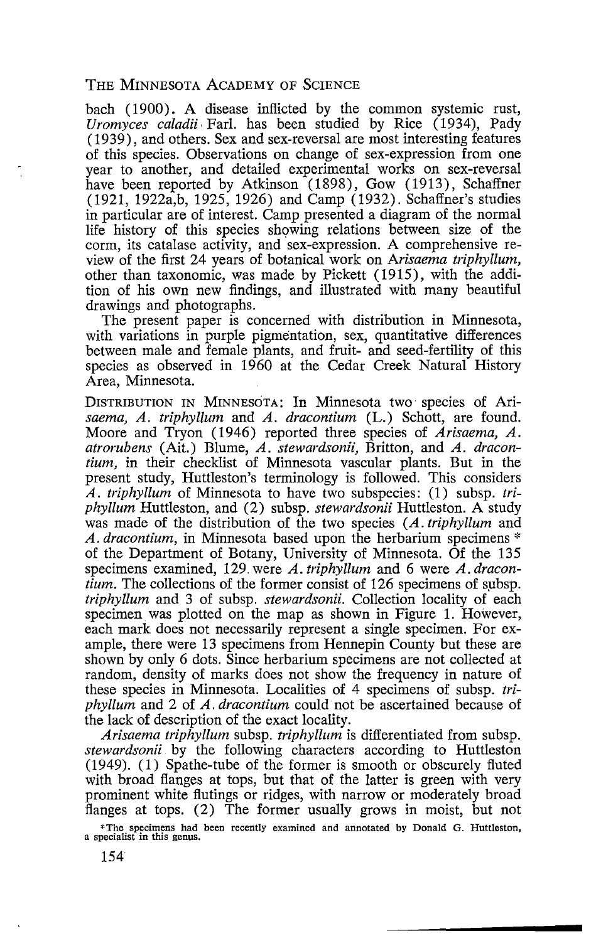bach (1900). A disease inflicted by the common systemic rust, *Uromyces caladii,* Farl. has been studied by Rice (1934), Pady (1939), and others. Sex and sex-reversal are most interesting features of this species. Observations on change of sex-expression from one year to another, and detailed experimental works on sex-reversal have been reported by Atkinson (1898), Gow (1913), Schaffner (1921, 1922a,b, 1925, 1926) and Camp (1932). Schaffner's studies in particular are of interest. Camp presented a diagram of the normal life history of this species showing relations between size of the corm, its catalase activity, and sex-expression. A comprehensive review of the first 24 years of botanical work on *Arisaema triphyllum,*  other than taxonomic, was made by Pickett ( 1915), with the addition of his own new findings, and illustrated with many beautiful drawings and photographs.

The present paper is concerned with distribution in Minnesota, with variations in purple pigmentation, sex, quantitative differences between male and female plants, and fruit- and seed-fertility of this species as observed in 1960 at the Cedar Creek Natural History Area, Minnesota.

DISTRIBUTION IN MINNESOTA: In Minnesota two species of Ari*saema, A. triphyllum* and *A. dracontium* (L.) Schott, are found. Moore and Tryon (1946) reported three species of *Arisaema, A. atrorubens* (Ait.) Blume, *A. stewardsonii,* Britton, and *A. dracontium,* in their checklist of Minnesota vascular plants. But in the present study, Huttleston's terminology is followed. This considers *A. triphyllum* of Minnesota to have two subspecies: (1) subsp. *triphyllum* Huttleston, and (2) subsp. *stewardsonii* Huttleston. A study was made of the distribution of the two species (A. *triphyllum* and *A. dracontium,* in Minnesota based upon the herbarium specimens \* of the Department of Botany, University of Minnesota. Of the 135 specimens examined, 129. were *A. triphyllum* and 6 were *A. dracontium.* The collections of the former consist of 126 specimens of subsp. *triphyllum* and 3 of subsp. *stewardsonii.* Collection locality of each specimen was plotted on the map as shown in Figure 1. However, each mark does not necessarily represent a single specimen. For example, there were 13 specimens from Hennepin County but these are shown by only 6 dots. Since herbarium specimens are not collected at random, density of marks does not show the frequency in nature of these species in Minnesota. Localities of 4 specimens of subsp. *triphyllum* and 2 of *A. dracontium* could· not be ascertained because of the lack of description of the exact locality.

*Arisaema triphyllum* subsp. *triphyllum* is differentiated from subsp. *stewardsonii* by the following characters according to Huttleston (1949). (1) Spathe-tube of the former is smooth or obscurely fluted with broad flanges at tops, but that of the latter is green with very prominent white flutings or ridges, with narrow or moderately broad flanges at tops. (2) The former usually grows in moist, but not

•The specimens had been recently examined and annotated by Donald G. Huttleston, a specialist in this genus.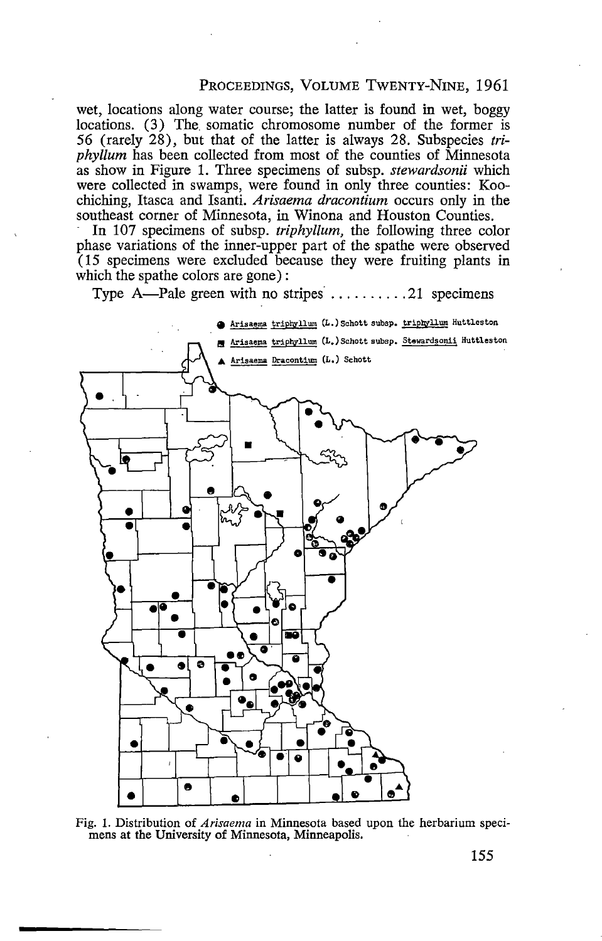#### PROCEEDINGS, VOLUME TwENTY-NINE, 1961

wet, locations along water course; the latter is found in wet, boggy locations. (3) The somatic chromosome number of the former is 56 (rarely 28), but that of the latter is always 28. Subspecies *triphyllum* has been collected from most of the counties of Minnesota as show in Figure 1. Three specimens of subsp. *stewardsonii* which were collected in swamps, were found in only three counties: Koochiching, Itasca and Isanti. *Arisaema dracontium* occurs only in the southeast corner of Minnesota, in Winona and Houston Counties.

In 107 specimens of subsp. *triphyllum,* the following three color phase variations of the inner-upper part of the spathe were observed ( 15 specimens were excluded because they were fruiting plants in which the spathe colors are gone) :

Type  $A$ -Pale green with no stripes  $\dots \dots \dots 21$  specimens



Fig. 1. Distribution of *Arisaema* in Minnesota based upon the herbarium speci- mens at the University of Minnesota, Minneapolis.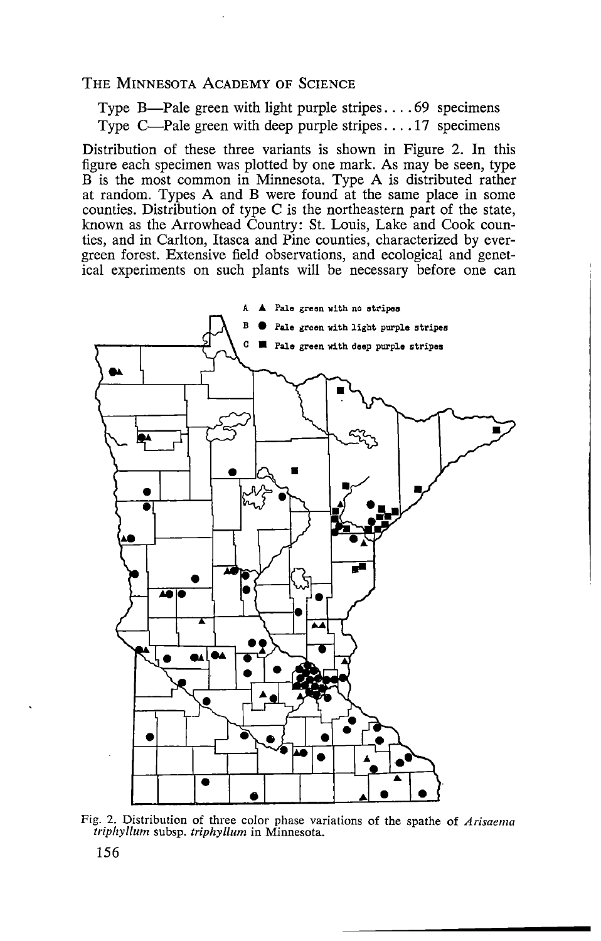Type B—Pale green with light purple stripes.... $69$  specimens Type  $C$ —Pale green with deep purple stripes .... 17 specimens

Distribution of these three variants is shown in Figure 2. In this figure each specimen was plotted by one mark. As may be seen, type B is the most common in Minnesota. Type A is distributed rather at random. Types A and B were found at the same place in some counties. Distribution of type C is the northeastern part of the state, known as the Arrowhead Country: St. Louis, Lake and Cook counties, and in Carlton, Itasca and Pine counties, characterized by evergreen forest. Extensive field observations, and ecological and genetical experiments on such plants will be necessary before one can



Fig. 2. Distribution of three color phase variations of the spathe of *Arisaema triphyllum* subsp. *triphyllum* in Minnesota.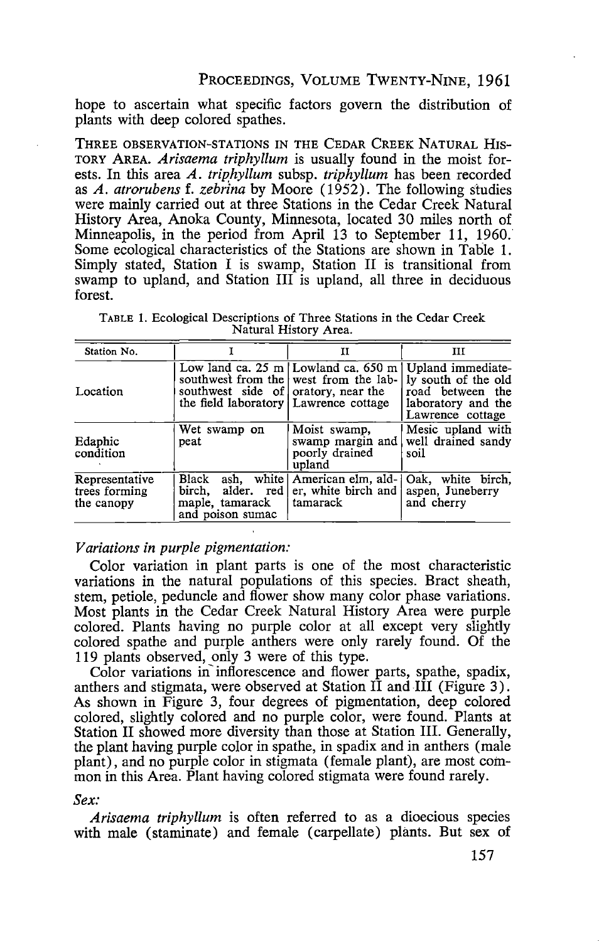hope to ascertain what specific factors govern the distribution of plants with deep colored spathes.

THREE OBSERVATION-STATIONS IN THE CEDAR CREEK NATURAL HIS-TORY AREA. *Arisaema triphyllum* is usually found in the moist forests. In this area *A. triphyllum* subsp. *triphyllum* has been recorded as *A. atrorubens* f. *zebrina* by Moore ( 1952). The following studies were mainly carried out at three Stations in the Cedar Creek Natural History Area, Anoka County, Minnesota, located 30 miles north of Minneapolis, in the period from April 13 to September 11, 1960. Some ecological characteristics of the Stations are shown in Table 1. Simply stated, Station I is swamp, Station II is transitional from swamp to upland, and Station III is upland, all three in deciduous forest.

TABLE 1. Ecological Descriptions of Three Stations in the Cedar Creek Natural History Area.

| Station No.                                   |                                                                                | п                                                                                                       | ш                                                                                                      |
|-----------------------------------------------|--------------------------------------------------------------------------------|---------------------------------------------------------------------------------------------------------|--------------------------------------------------------------------------------------------------------|
| Location                                      | southwest side of oratory, near the<br>the field laboratory   Lawrence cottage | Low land ca. $25 \text{ m}$ Lowland ca. $650 \text{ m}$<br>southwest from the west from the lab-        | Upland immediate-<br>ly south of the old<br>road between the<br>laboratory and the<br>Lawrence cottage |
| Edaphic<br>condition                          | Wet swamp on<br>peat                                                           | Moist swamp,<br>swamp margin and<br>poorly drained<br>upland                                            | Mesic upland with<br>well drained sandy<br>soil                                                        |
| Representative<br>trees forming<br>the canopy | Black<br>alder, red<br>birch.<br>maple, tamarack<br>and poison sumac           | ash, white   American elm, ald-   Oak, white birch,<br>er, white birch and aspen, Juneberry<br>tamarack | and cherry                                                                                             |

#### *Variations in purple pigmentation:*

Color variation in plant parts is one of the most characteristic variations in the natural populations of this species. Bract sheath, stem, petiole, peduncle and flower show many color phase variations. Most plants in the Cedar Creek Natural History Area were purple colored. Plants having no purple color at all except very slightly colored spathe and purple anthers were only rarely found. Of the 119 plants observed, only 3 were of this type.

Color variations in inflorescence and flower parts, spathe, spadix, anthers and stigmata, were observed at Station II and III (Figure 3). As shown in Figure 3, four degrees of pigmentation, deep colored colored, slightly colored and no purple color, were found. Plants at Station II showed more diversity than those at Station III. Generally, the plant having purple color in spathe, in spadix and in anthers (male plant), and no purple color in stigmata (female plant), are most common in this Area. Plant having colored stigmata were found rarely.

#### *Sex:*

*Arisaema triphyllum* is often referred to as a dioecious species with male (staminate) and female (carpellate) plants. But sex of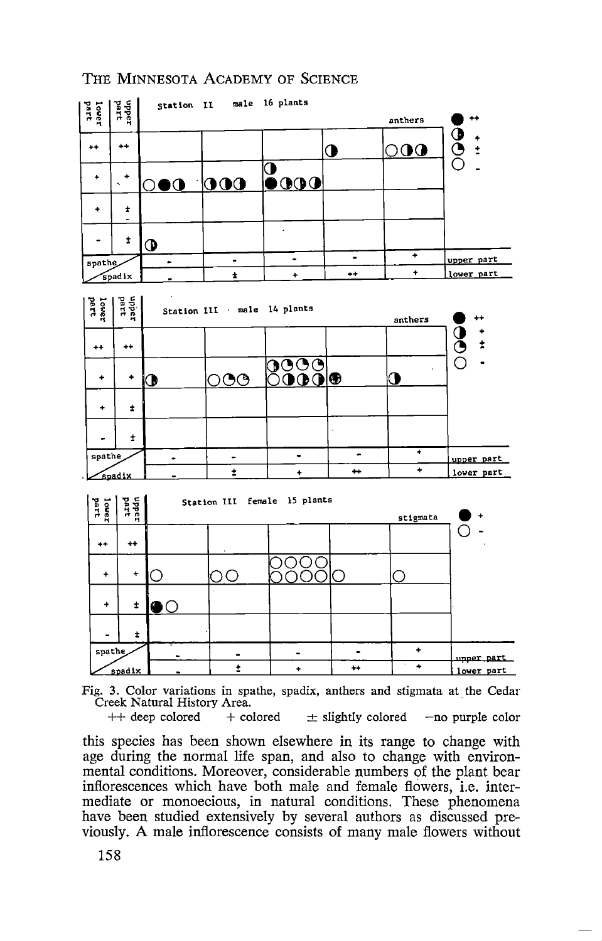

Fig. 3. Color variations in spathe, spadix, anthers and stigmata at the Cedar Creek Natural History Area.

 $++$  deep colored  $+$  colored  $\pm$  slightly colored  $-$ no purple color

this species has been shown elsewhere in its range to change with age during the normal life span, and also to change with environmental conditions. Moreover, considerable numbers of the plant bear inflorescences which have both male and female flowers, i.e. intermediate or monoecious, in natural conditions. These phenomena have been studied extensively by several authors as discussed previously. A male inflorescence consists of many male flowers without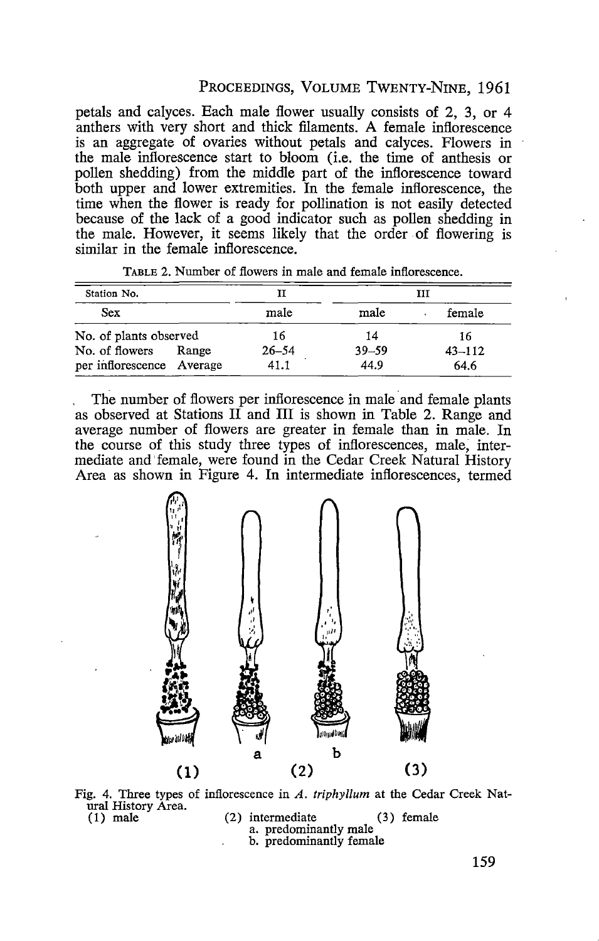#### PROCEEDINGS, VOLUME TwENTY-NINE, 1961

petals and calyces. Each male flower usually consists of 2, 3, or 4 anthers with very short and thick filaments. A female inflorescence is an aggregate of ovaries without petals and calyces. Flowers in the male inflorescence start to bloom (i.e. the time of anthesis or pollen shedding) from the middle part of the inflorescence toward both upper and lower extremities. In the female inflorescence, the time when the flower is ready for pollination is not easily detected because of the lack of a good indicator such as pollen shedding in the male. However, it seems likely that the order of flowering is similar in the female inflorescence.

| Station No.               |       | н         |           | TTT        |
|---------------------------|-------|-----------|-----------|------------|
| Sex                       |       | male      | male      | female     |
| No. of plants observed    |       | 16        | 14        | 16         |
| No. of flowers            | Range | $26 - 54$ | $39 - 59$ | $43 - 112$ |
| per inflorescence Average |       | 41.1      | 44.9      | 64.6       |

TABLE 2. Number of flowers in male and female inflorescence.

The number of flowers per inflorescence in male and female plants as observed at Stations II and III is shown in Table 2. Range and average number of flowers are greater in female than in male. In the course of this study three types of inflorescences, male, intermediate and' female, were found in the Cedar Creek Natural History Area as shown in Figure 4. In intermediate inflorescences, termed



Fig. 4. Three types of inflorescence in *A. triphyllum* at the Cedar Creek Natural History Área.<br>(1) male (2) intermediate (3) female a. predominantly male

- - - b. predominantly female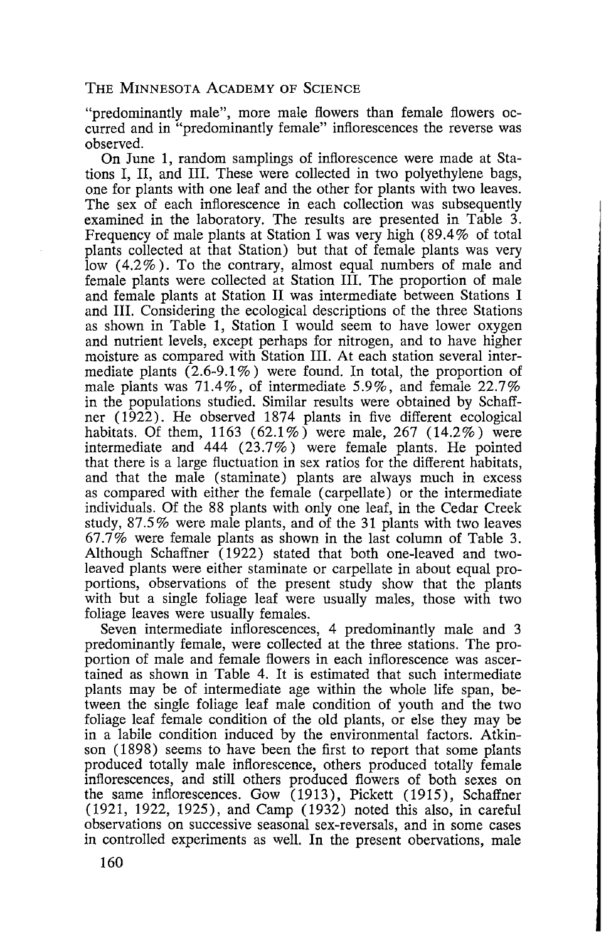"predominantly male", more male flowers than female flowers occurred and in "predominantly female" inflorescences the reverse was observed.

On June 1, random samplings of inflorescence were made at Stations I, II, and III. These were collected in two polyethylene bags, one for plants with one leaf and the other for plants with two leaves. The sex of each inflorescence in each collection was subsequently examined in the laboratory. The results are presented in Table 3. Frequency of male plants at Station I was very high (89.4% of total plants collected at that Station) but that of female plants was very low  $(4.2\%)$ . To the contrary, almost equal numbers of male and female plants were collected at Station III. The proportion of male and female plants at Station II was intermediate between Stations I and III. Considering the ecological descriptions of the three Stations as shown in Table 1, Station I would seem to have lower oxygen and nutrient levels, except perhaps for nitrogen, and to have higher moisture as compared with Station III. At each station several intermediate plants  $(2.6\n-9.1\%)$  were found. In total, the proportion of male plants was 71.4%, of intermediate 5.9%, and female 22.7% in the populations studied. Similar results were obtained by Schaffner  $(1\overline{9}2\overline{2})$ . He observed 1874 plants in five different ecological habitats. Of them, 1163 (62.1%) were male, 267 (14.2%) were intermediate and 444 (23.7%) were female plants. He pointed that there is a large fluctuation in sex ratios for the different habitats, and that the male (staminate) plants are always much in excess as compared with either the female ( carpellate) or the intermediate individuals. Of the 88 plants with only one leaf, in the Cedar Creek study, 87.5% were male plants, and of the 31 plants with two leaves 67.7% were female plants as shown in the last column of Table 3. Although Schaffner (1922) stated that both one-leaved and twoleaved plants were either staminate or carpellate in about equal proportions, observations of the present study show that the plants with but a single foliage leaf were usually males, those with two foliage leaves were usually females.

Seven intermediate inflorescences, 4 predominantly male and 3 predominantly female, were collected at the three stations. The proportion of male and female flowers in each inflorescence was ascertained as shown in Table 4. It is estimated that such intermediate plants may be of intermediate age within the whole life span, between the single foliage leaf male condition of youth and the two foliage leaf female condition of the old plants, or else they may be in a labile condition induced by the environmental factors. Atkinson (1898) seems to have been the first to report that some plants produced totally male inflorescence, others produced totally female inflorescences, and still others produced flowers of both sexes on the same inflorescences. Gow (1913), Pickett (1915), Schaffner (1921, 1922, 1925), and Camp (1932) noted this also, in careful observations on successive seasonal sex-reversals, and in some cases in controlled experiments as well. In the present obervations, male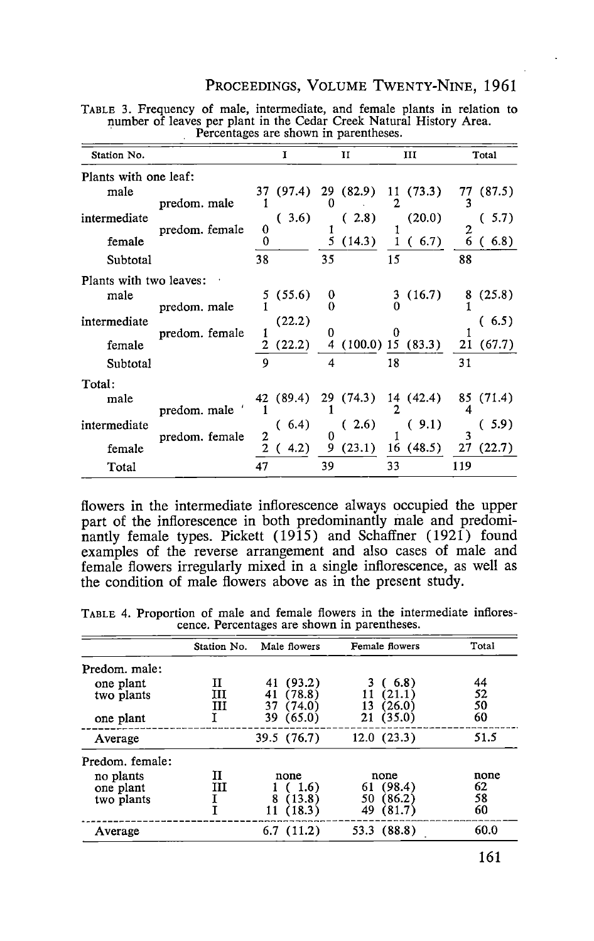#### PROCEEDINGS, VOLUME TWENTY-NINE, 1961

| Station No.             |                | Ĩ            | н           | ш                 | Total                   |
|-------------------------|----------------|--------------|-------------|-------------------|-------------------------|
| Plants with one leaf:   |                |              |             |                   |                         |
| male                    | predom. male   | (97.4)<br>37 | 29 (82.9)   | 11(73.3)<br>2     | 77<br>(87.5)            |
| intermediate            | predom. female | 3.6)<br>0    | (2.8)       | (20.0)            | (.5.7)<br>$\frac{2}{6}$ |
| female                  |                | 0            | 5<br>(14.3) | (6.7)             | (6.8)                   |
| Subtotal                |                | 38           | 35          | 15                | 88                      |
| Plants with two leaves: |                |              |             |                   |                         |
| male                    | predom. male   | (55.6)       | 0<br>0      | (16.7)<br>3       | (25.8)<br>8             |
| intermediate            | predom. female | (22.2)       | o           | 0                 | (6.5)                   |
| female                  |                | 2<br>(22.2)  | 4           | (100.0) 15 (83.3) | 21 (67.7)               |
| Subtotal                |                | 9            | 4           | 18                | 31                      |
| Total:                  |                |              |             |                   |                         |
| male                    | predom. male   | 42 (89.4)    | 29 (74.3)   | 14 (42.4)         | 85 (71.4)<br>4          |
| intermediate            | predom. female | (6.4)<br>2   | (2.6)<br>0  | (9.1)             | (.5.9)<br>٦             |
| female                  |                | 2<br>4.2)    | (23.1)<br>9 | 16(48.5)          | (22.7)<br>27            |
| Total                   |                | 47           | 39          | 33                | 119                     |

TABLE 3. Frequency of male, intermediate, and female plants in relation to number of leaves per plant in the Cedar Creek Natural History Area.<br>• Percentages are shown in parentheses.

flowers in the intermediate inflorescence always occupied the upper part of the inflorescence in both predominantly male and predominantly female types. Pickett (1915) and Schaffner (1921) found examples of the reverse arrangement and also cases of male and female flowers irregularly mixed in a single inflorescence, as well as the condition of male flowers above as in the present study.

TABLE 4. Proportion of male and female flowers in the intermediate inflores- cence. Percentages are shown in parentheses.

|                                      | Station No. | Male flowers                                 | Female flowers                                       | Total                  |
|--------------------------------------|-------------|----------------------------------------------|------------------------------------------------------|------------------------|
| Predom. male:                        |             |                                              |                                                      |                        |
| one plant<br>two plants              | Н<br>ш<br>ш | (93.2)<br>(78.8)<br>41<br>(74.0)<br>37       | (6.8)<br>(21.1)<br>(26.0)<br>13                      | 44<br>52<br>50         |
| one plant                            |             | (65.0)<br>39                                 | 21(35.0)                                             | 60                     |
| Average                              |             | 39.5 (76.7)                                  | 12.0(23.3)                                           | 51.5                   |
| Predom. female:                      |             |                                              |                                                      |                        |
| no plants<br>one plant<br>two plants | п<br>ш      | none<br>-1.6)<br>8<br>(13.8)<br>(18.3)<br>11 | none<br>(98.4)<br>61<br>(86.2)<br>50<br>49<br>(81.7) | none<br>62<br>58<br>60 |
| Average                              |             | 6.7(11.2)                                    | 53.3 (88.8)                                          | 60.0                   |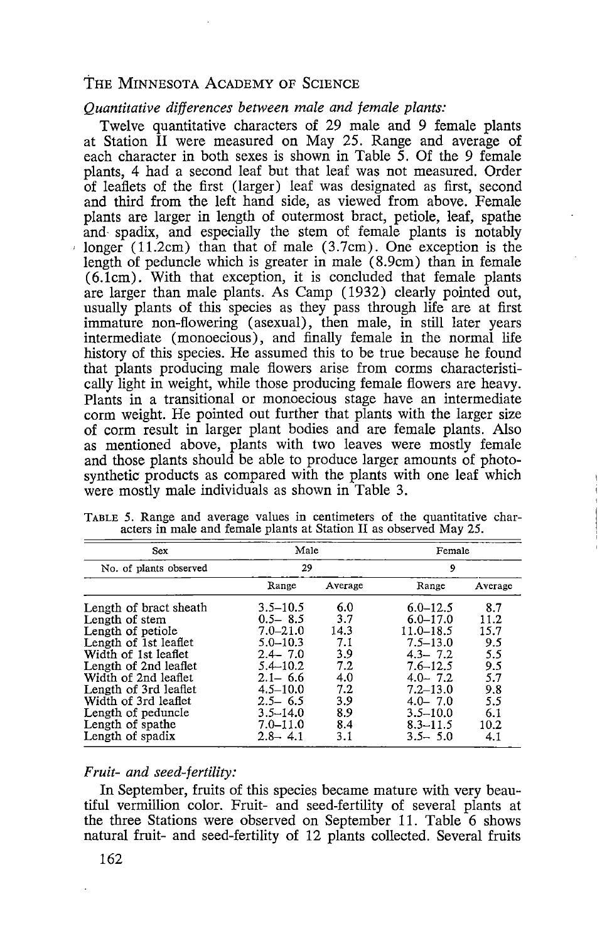#### *Quantitative differences between male and female plants:*

Twelve quantitative characters of 29 male and 9 female plants at Station II were measured on May 25. Range and average of each character in both sexes is shown in Table 5. Of the 9 female plants, 4 had a second leaf but that leaf was not measured. Order of leaflets of the first (larger) leaf was designated as first, second and third from the left hand side, as viewed from above. Female plants are larger in length of outermost bract, petiole, leaf, spathe and- spadix, and especially the stem of female plants is notably longer (11.2cm) than that of male (3.7cm). One exception is the length of peduncle which is greater in male ( 8.9cm) than in female (6.1cm). With that exception, it is concluded that female plants are larger than male plants. As Camp (1932) clearly pointed out, usually plants of this species as they pass through life are at first immature non-flowering (asexual), then male, in still later years intermediate (monoecious), and finally female in the normal life history of this species. He assumed this to be true because he found that plants producing male flowers arise from corms characteristically light in weight, while those producing female flowers are heavy. Plants in a transitional or monoecious stage have an intermediate corm weight. He pointed out further that plants with the larger size of corm result in larger plant bodies and are female plants. Also as mentioned above, plants with two leaves were mostly female and those plants should be able to produce larger amounts of photosynthetic products as compared with the plants with one leaf which were mostly male individuals as shown in Table 3.

| Sex                    | Male         |         | Female       |         |  |  |
|------------------------|--------------|---------|--------------|---------|--|--|
| No. of plants observed | 29           |         | 9            |         |  |  |
|                        | Range        | Average | Range        | Average |  |  |
| Length of bract sheath | $3.5 - 10.5$ | 6.0     | $6.0 - 12.5$ | 8.7     |  |  |
| Length of stem         | $0.5 - 8.5$  | 3.7     | $6.0 - 17.0$ | 11.2    |  |  |
| Length of petiole      | $7.0 - 21.0$ | 14.3    | 11.0-18.5    | 15.7    |  |  |
| Length of 1st leaflet  | $5.0 - 10.3$ | 7.1     | $7.5 - 13.0$ | 9.5     |  |  |
| Width of 1st leaflet   | $2.4 - 7.0$  | 3.9     | $4.3 - 7.2$  | 5.5     |  |  |
| Length of 2nd leaflet  | $5.4 - 10.2$ | 72      | $7.6 - 12.5$ | 9.5     |  |  |
| Width of 2nd leaflet   | $2.1 - 6.6$  | 4.0     | $4.0 - 7.2$  | 5.7     |  |  |
| Length of 3rd leaflet  | $4.5 - 10.0$ | 7.2     | $7.2 - 13.0$ | 9.8     |  |  |
| Width of 3rd leaflet   | $2.5 - 6.5$  | 3.9     | $4.0 - 7.0$  | 5.5     |  |  |
| Length of peduncle     | $3.5 - 14.0$ | 89      | $3.5 - 10.0$ | 6.1     |  |  |
| Length of spathe       | $7.0 - 11.0$ | 8.4     | $8.3 - 11.5$ | 10.2    |  |  |
| Length of spadix       | $2.8 - 4.1$  | 3.1     | $3.5 - 5.0$  | 4.1     |  |  |

TABLE 5. Range and average values in centimeters of the quantitative characters in male and female plants at Station II as observed May 25.

#### *Fruit- and seed-fertility:*

In September, fruits of this species became mature with very beautiful vermillion color. Fruit- and seed-fertility of several plants at the three Stations were observed on September 11. Table 6 shows natural fruit- and seed-fertility of 12 plants collected. Several fruits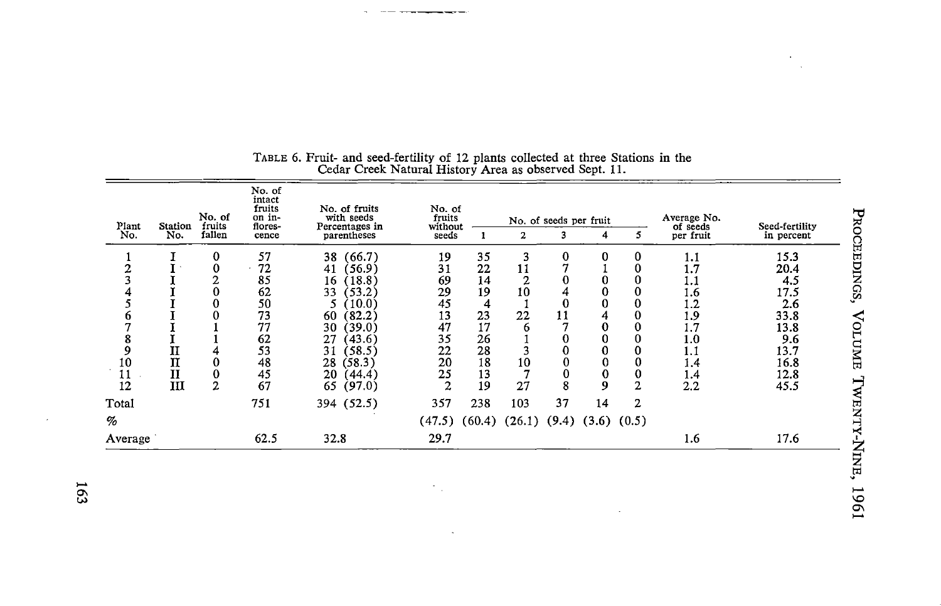|                | No. of<br>Plant<br>Station<br>fruits                                   |                    | No. of<br>intact<br>fruits<br>on in-<br>flores-                      | No. of fruits<br>with seeds<br>Percentages in                                                                                                                                                | No. of<br>fruits<br>without                                    |                                                                     |                                                        | No. of seeds per fruit               |                                                              |                                                     | Average No.<br>of seeds                                                          | Seed-fertility                                                                            |
|----------------|------------------------------------------------------------------------|--------------------|----------------------------------------------------------------------|----------------------------------------------------------------------------------------------------------------------------------------------------------------------------------------------|----------------------------------------------------------------|---------------------------------------------------------------------|--------------------------------------------------------|--------------------------------------|--------------------------------------------------------------|-----------------------------------------------------|----------------------------------------------------------------------------------|-------------------------------------------------------------------------------------------|
| No.            | No.                                                                    | fallen             | cence                                                                | parentheses                                                                                                                                                                                  | seeds                                                          |                                                                     | 2                                                      | 3                                    | 4                                                            |                                                     | per fruit                                                                        | in percent                                                                                |
| 10<br>11<br>12 | $\mathbf{I}$<br>$\overline{\mathbf{u}}$<br>$\mathbf{I}\mathbf{I}$<br>Ш | $\bf{0}$<br>0<br>2 | 57<br>72<br>85<br>62<br>50<br>73<br>77<br>62<br>53<br>48<br>45<br>67 | (66.7)<br>38<br>(56.9)<br>41<br>(18.8)<br>16<br>33<br>(53.2)<br>(10.0)<br>5.<br>(82.2)<br>60<br>(39.0)<br>30<br>27<br>(43.6)<br>(58.5)<br>31<br>28<br>(58.3)<br>20<br>(44.4)<br>(97.0)<br>65 | 19<br>31<br>69<br>29<br>45<br>13<br>47<br>35<br>22<br>20<br>25 | 35<br>22<br>14<br>19<br>4<br>23<br>17<br>26<br>28<br>18<br>13<br>19 | 3<br>11<br>$\overline{2}$<br>10<br>22<br>6<br>10<br>27 | 0<br>$\bf{0}$<br>11<br>$\bf{0}$<br>8 | 0<br>0<br>0<br>4<br>$\bf{0}$<br>0<br>0<br>0<br>$\bf{0}$<br>9 | 0<br>0<br>0<br>0<br>0<br>$\bf{0}$<br>$\overline{2}$ | 1.1<br>1.7<br>1.1<br>1.6<br>1.2<br>1.9<br>1.7<br>1.0<br>1.1<br>1.4<br>1.4<br>2.2 | 15.3<br>20.4<br>4.5<br>17.5<br>2.6<br>33.8<br>13.8<br>9.6<br>13.7<br>16.8<br>12.8<br>45.5 |
| Total          |                                                                        |                    | 751                                                                  | 394 (52.5)                                                                                                                                                                                   | 357                                                            | 238                                                                 | 103                                                    | 37                                   | 14                                                           | 2                                                   |                                                                                  |                                                                                           |
| %              |                                                                        |                    |                                                                      |                                                                                                                                                                                              | (47.5)                                                         |                                                                     | $(60.4)$ $(26.1)$ $(9.4)$ $(3.6)$ $(0.5)$              |                                      |                                                              |                                                     |                                                                                  |                                                                                           |
| Average        |                                                                        |                    | 62.5                                                                 | 32.8                                                                                                                                                                                         | 29.7                                                           |                                                                     |                                                        |                                      |                                                              |                                                     | 1.6                                                                              | 17.6                                                                                      |

 $\sim$ 

#### TABLE 6. Fruit- and seed-fertility of 12 plants collected at three Stations in the Cedar Creek Natural History Area as observed Sept. 11.

 $\mathcal{L}_{\mathcal{A}}$ 

 $\alpha$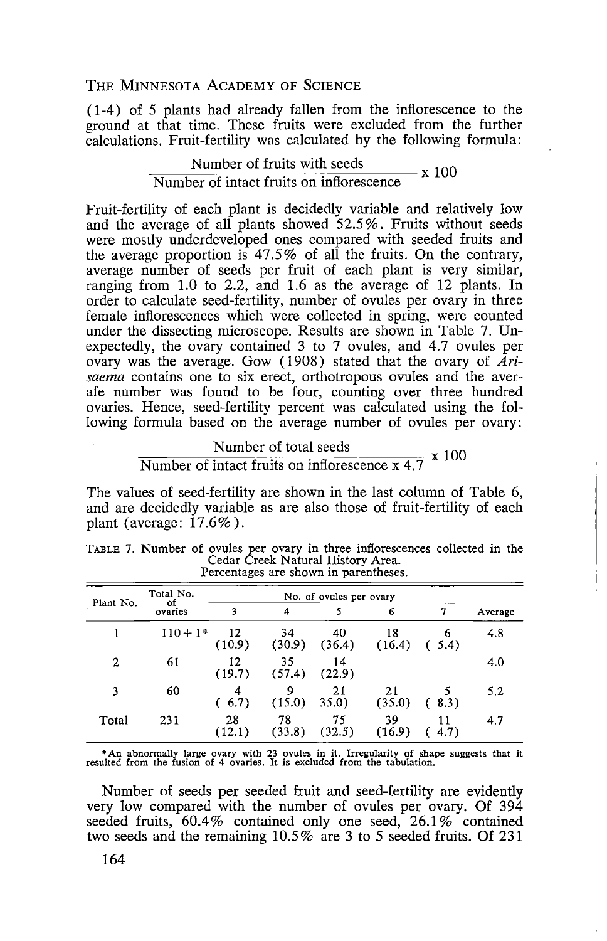( 1-4) of 5 plants had already fallen from the inflorescence to the ground at that time. These fruits were excluded from the further calculations. Fruit-fertility was calculated by the following formula:

#### $\frac{\text{Number of fruits with seeds}}{\text{X}~100}$ Number of intact fruits on inflorescence

Fruit-fertility of each plant is decidedly variable and relatively low and the average of all plants showed 52.5 % . Fruits without seeds were mostly underdeveloped ones compared with seeded fruits and the average proportion is 47.5% of all the fruits. On the contrary, average number of seeds per fruit of each plant is very similar, ranging from 1.0 to 2.2, and 1.6 as the average of 12 plants. In order to calculate seed-fertility, number of ovules per ovary in three female inflorescences which were collected in spring, were counted under the dissecting microscope. Results are shown in Table 7. Unexpectedly, the ovary contained 3 to 7 ovules, and 4.7 ovules per ovary was the average. Gow (1908) stated that the ovary of *Arisaema* contains one to six erect, orthotropous ovules and the averafe number was found to be four, counting over three hundred ovaries. Hence, seed-fertility percent was calculated using the following formula based on the average number of ovules per ovary:

# Number of total seeds<br>Number of intact fruits on inflorescence  $x$  4.7  $x$  100

The values of seed-fertility are shown in the last column of Table 6, and are decidedly variable as are also those of fruit-fertility of each plant (average:  $17.6\%$ ).

| Plant No.   | Total No.<br>оf |              |              |              |              |            |         |
|-------------|-----------------|--------------|--------------|--------------|--------------|------------|---------|
|             | ovaries         | 3            | 4            |              | 6            |            | Average |
|             | $110 + 1*$      | 12<br>(10.9) | 34<br>(30.9) | 40<br>(36.4) | 18<br>(16.4) | 6<br>(5.4) | 4.8     |
| $\mathbf 2$ | 61              | 12<br>(19.7) | 35<br>(57.4) | 14<br>(22.9) |              |            | 4.0     |
| 3           | 60              | 4<br>(6.7)   | 9<br>(15.0)  | 21<br>35.0)  | 21<br>(35.0) | (8.3)      | 5.2     |
| Total       | 231             | 28<br>(12.1) | 78<br>(33.8) | 75<br>(32.5) | 39<br>(16.9) | 11<br>4.7) | 4.7     |

TABLE 7. Number of ovules per ovary in three inflorescences collected in the Cedar Creek Natural History Area. Percentages are shown in parentheses.

• An abnormally large ovary with 23 ovules in it. Irregularity of shape suggests that it resulted from the fusion of 4 ovaries. It is excluded from the tabulation.

Number of seeds per seeded fruit and seed-fertility are evidently very low compared with the number of ovules per ovary. Of 394 seeded fruits,  $60.4\%$  contained only one seed,  $26.1\%$  contained two seeds and the remaining 10.5% are 3 to 5 seeded fruits. Of 231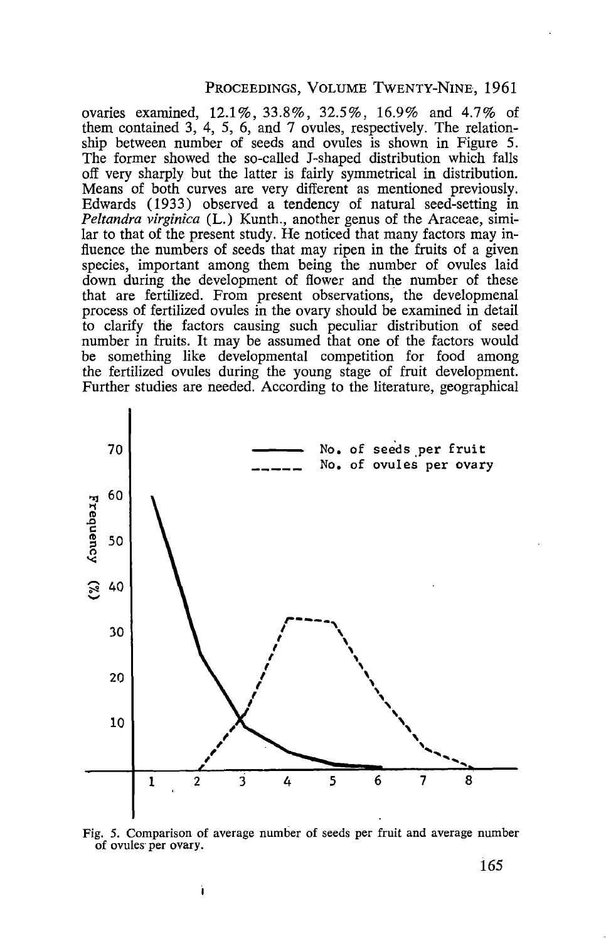#### PROCEEDINGS, VOLUME TWENTY-NINE, 1961

ovaries examined, 12.1%, 33.8%, 32.5%, 16.9% and 4.7% of them contained 3, 4, 5, 6, and 7 ovules, respectively. The relationship between number of seeds and ovules is shown in Figure 5. The former showed the so-called J-shaped distribution which falls off very sharply but the latter is fairly symmetrical in distribution. Means of both curves are very different as mentioned previously. Edwards (1933) observed a tendency of natural seed-setting in *Peltandra virginica* (L.) Kunth., another genus of the Araceae, similar to that of the present study. He noticed that many factors may influence the numbers of seeds that may ripen in the fruits of a given species, important among them being the number of ovules laid down during the development of flower and the number of these that are fertilized. From present observations, the developmenal process of fertilized ovules in the ovary should be examined in detail to clarify the factors causing such peculiar distribution of seed number in fruits. It may be assumed that one of the factors would be something like developmental competition for food among the fertilized ovules during the young stage of fruit development. Further studies are needed. According to the literature, geographical



Fig. 5. Comparison of average number of seeds per fruit and average number of ovules· per ovary.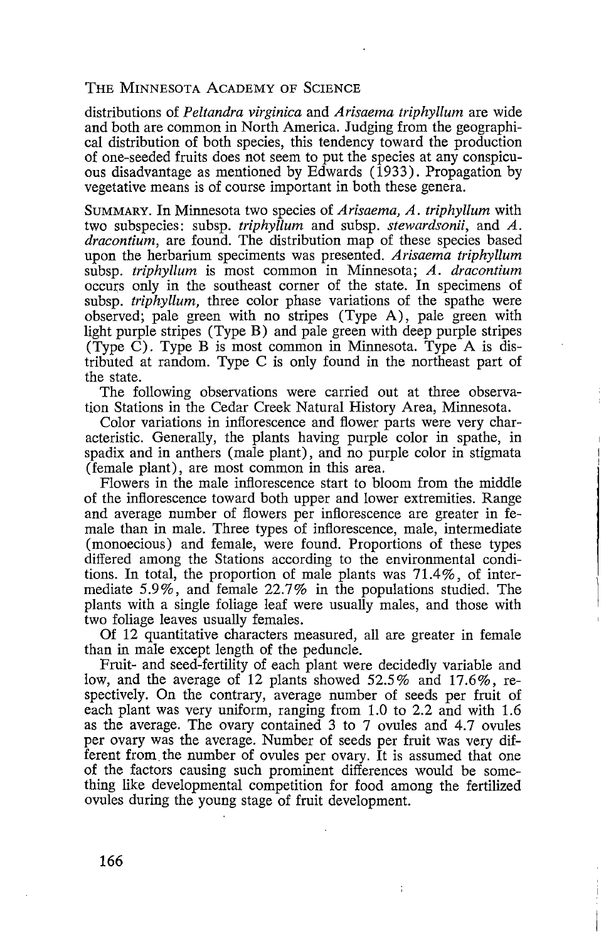distributions of *Peltandra virginica* and *Arisaema triphyllum* are wide and both are common in North America. Judging from the geographical distribution of both species, this tendency toward the production of one-seeded fruits does not seem to put the species at any conspicuous disadvantage as mentioned by Edwards (1933). Propagation by vegetative means is of course important in both these genera.

SUMMARY. In Minnesota two species of *Arisaema, A. triphyllum* with two subspecies: subsp. *triphyllum* and subsp. *stewardsonii,* and *A. dracontium,* are found. The distribution map of these species based upon the herbarium speciments was presented. *Arisaema triphyllum*  subsp. *triphyllum* is most common in Minnesota; *A. dracontium*  occurs only in the southeast corner of the state. In specimens of subsp. *triphyllum,* three color phase variations of the spathe were observed; pale green with no stripes (Type A), pale green with light purple stripes (Type B) and pale green with deep purple stripes (Type C). Type B is most common in Minnesota. Type A is distributed at random. Type C is only found in the northeast part of the state.

The following observations were carried out at three observation Stations in the Cedar Creek Natural History Area, Minnesota.

Color variations in inflorescence and flower parts were very characteristic. Generally, the plants having purple color in spathe, in spadix and in anthers (male plant), and no purple color in stigmata (female plant), are most common in this area.

Flowers in the male inflorescence start to bloom from the middle of the inflorescence toward both upper and lower extremities. Range and average number of flowers per inflorescence are greater in female than in male. Three types of inflorescence, male, intermediate (monoecious) and female, were found. Proportions of these types differed among the Stations according to the environmental conditions. In total, the proportion of male plants was 71.4%, of intermediate 5 .9 % , and female 22. 7 % in the populations studied. The plants with a single foliage leaf were usually males, and those with two foliage leaves usually females.

Of 12 quantitative characters measured, all are greater in female than in male except length of the peduncle.

Fruit- and seed-fertility of each plant were decidedly variable and low, and the average of 12 plants showed 52.5% and 17.6%, respectively. On the contrary, average number of seeds per fruit of each plant was very uniform, ranging from 1.0 to 2.2 and with 1.6 as the average. The ovary contained 3 to 7 ovules and 4.7 ovules per ovary was the average. Number of seeds per fruit was very different from the number of ovules per ovary. It is assumed that one of the factors causing such prominent differences would be something like developmental competition for food among the fertilized ovules during the young stage of fruit development.

÷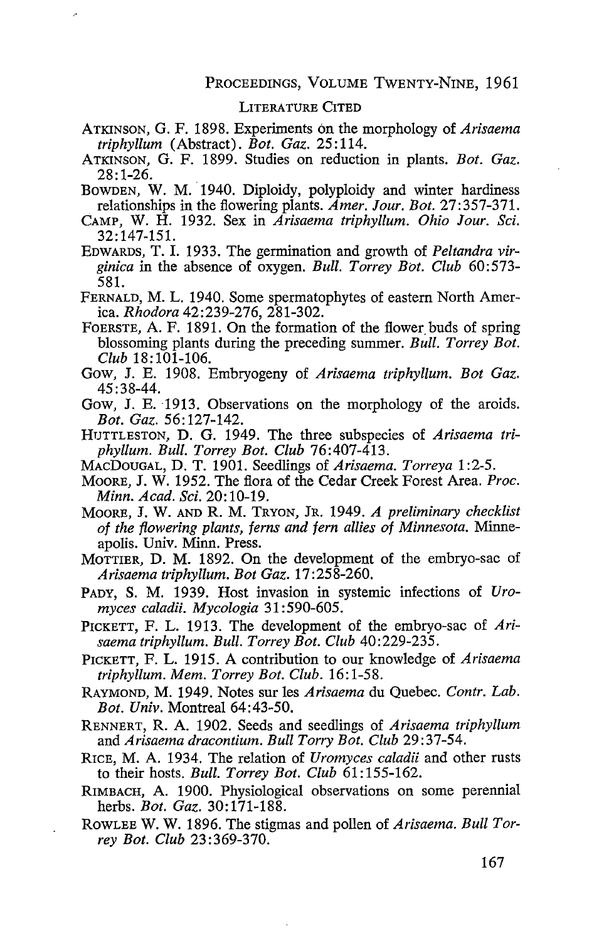#### LITERATURE CITED

- ATKINSON, G. F. 1898. Experiments on the morphology of *Arisaema triphyllum* (Abstract). *Bot. Gaz.* 25:114.
- ATKINSON, G. F. 1899. Studies on reduction in plants. *Bot. Gaz.*  28:1-26.
- BOWDEN, W. M. 1940. Diploidy, polyploidy and winter hardiness relationships in the flowering plants. *Amer. lour. Bot.* 27:357-371.
- CAMP, W. H. 1932. Sex in *Arisaema triphyllum. Ohio lour. Sci.*  32: 147-151.
- EDWARDS, T. I. 1933. The germination and growth of *Peltandra virginica* in the absence of oxygen. *Bull. Torrey Bot. Club* 60:573- 581.
- FERNALD, M. L. 1940. Some spermatophytes of eastern North America. *Rhodora* 42:239-276, 281-302.
- FOERSTE, A. F. 1891. On the formation of the flower buds of spring blossoming plants during the preceding summer. *Bull. Torrey Bot. Club* 18:101-106.
- Gow, J. E. 1908. Embryogeny of *Arisaema triphyllum. Bot Gaz.*  45:38-44.
- Gow, J. E. 1913. Observations on the morphology of the aroids. *Bot. Gaz.* 56: 127-142.
- HUTTLESTON, D. G. 1949. The three subspecies of *Arisaema triphyllum. Bull. Torrey Bot. Club* 76:407-413.
- MACDOUGAL, D. T. 1901. Seedlings of *Arisaema. Torreya* 1 :2-5.
- MooRE, J. W. 1952. The flora of the Cedar Creek Forest Area. *Proc. Minn. Acad. Sci.* 20: 10-19.
- MOORE, J. W. AND R. M. TRYON, JR. 1949. *A preliminary checklist of the flowering plants, ferns and fern allies of Minnesota.* Minneapolis. Univ. Minn. Press.
- MoTTIER, D. M. 1892. On the development of the embryo-sac of *Arisaema triphyllum. Bot Gaz.* 17:258-260.
- PADY, S. M. 1939. Host invasion in systemic infections of *Uromyces caladii. Mycologia* 31 : 590-605.
- PICKETT, F. L. 1913. The development of the embryo-sac of *Arisaema triphyllum. Bull. Torrey Bot. Club* 40:229-235.
- PICKETT, F. L. 1915. A contribution to our knowledge of *Arisaema triphyllum. Mem. Torrey Bot. Club.* 16: 1-58.
- RAYMOND, M. 1949. Notes sur les *Arisaema* du Quebec. *Contr. Lab. Bot. Univ.* Montreal 64:43-50.
- RENNERT, R. A. 1902. Seeds and seedlings of *Arisaema triphyllum*  and *Arisaema dracontium. Bull Torry Bot. Club* 29:37-54.
- RICE, M. A. 1934. The relation of *Uromyces caladii* and other rusts to their hosts. *Bull. Torrey Bot. Club* 61: 155-162.
- RIMBACH, A. 1900. Physiological observations on some perennial herbs. *Bot. Gaz.* 30:171-188.
- ROWLEE W.W. 1896. The stigmas and pollen of *Arisaema. Bull Torrey Bot. Club* 23:369-370.